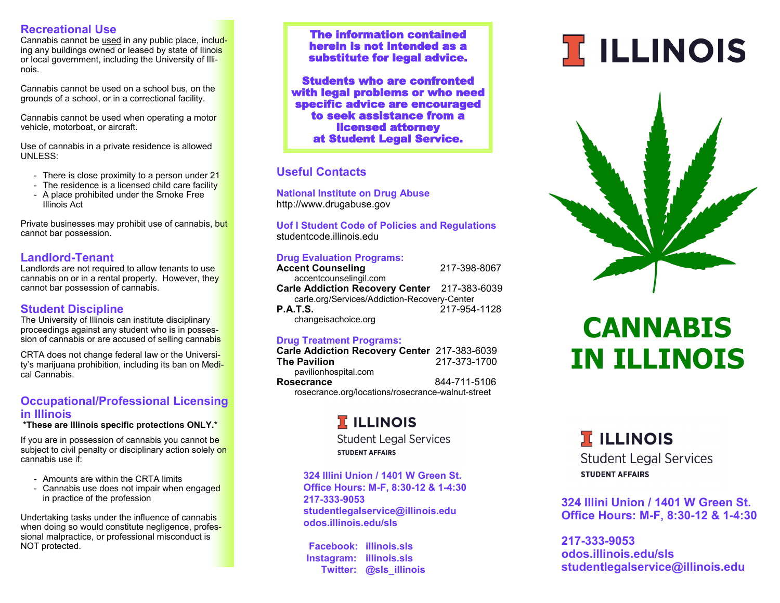#### **Recreational Use**

Cannabis cannot be used in any public place, including any buildings owned or leased by state of Ilinois or local government, including the University of Illinois.

Cannabis cannot be used on a school bus, on the grounds of a school, or in a correctional facility.

Cannabis cannot be used when operating a motor vehicle, motorboat, or aircraft.

Use of cannabis in a private residence is allowed UNLESS:

- There is close proximity to a person under 21
- The residence is a licensed child care facility
- A place prohibited under the Smoke Free Illinois Act

Private businesses may prohibit use of cannabis, but cannot bar possession.

#### **Landlord-Tenant**

Landlords are not required to allow tenants to use cannabis on or in a rental property. However, they cannot bar possession of cannabis.

#### **Student Discipline**

The University of Illinois can institute disciplinary proceedings against any student who is in possession of cannabis or are accused of selling cannabis

CRTA does not change federal law or the University's marijuana prohibition, including its ban on Medical Cannabis.

#### **Occupational/Professional Licensing in Illinois**

#### **\*These are Illinois specific protections ONLY.\***

If you are in possession of cannabis you cannot be subject to civil penalty or disciplinary action solely on cannabis use if:

- Amounts are within the CRTA limits
- Cannabis use does not impair when engaged in practice of the profession

Undertaking tasks under the influence of cannabis when doing so would constitute negligence, professional malpractice, or professional misconduct is NOT protected.

The information contained herein is not intended as a substitute for legal advice.

Students who are confronted with legal problems or who need specific advice are encouraged to seek assistance from a licensed attorney at Student Legal Service.

#### **Useful Contacts**

**National Institute on Drug Abuse** http://www.drugabuse.gov

**Uof I Student Code of Policies and Regulations** studentcode.illinois.edu

#### **Drug Evaluation Programs:**

| <b>Accent Counseling</b>                     | 217-398-8067 |
|----------------------------------------------|--------------|
| accentcounselingil.com                       |              |
| Carle Addiction Recovery Center 217-383-6039 |              |
| carle.org/Services/Addiction-Recovery-Center |              |
| <b>P.A.T.S.</b>                              | 217-954-1128 |
| changeisachoice.org                          |              |

#### **Drug Treatment Programs:**

| Carle Addiction Recovery Center 217-383-6039      |              |
|---------------------------------------------------|--------------|
| The Pavilion                                      | 217-373-1700 |
| pavilionhospital.com                              |              |
| Rosecrance                                        | 844-711-5106 |
| rosecrance.org/locations/rosecrance-walnut-street |              |

### **TELLINOIS**

**Student Legal Services STUDENT AFFAIRS** 

**324 Illini Union / 1401 W Green St. Office Hours: M-F, 8:30-12 & 1-4:30 217-333-9053 studentlegalservice@illinois.edu odos.illinois.edu/sls**

 **Facebook: illinois.sls Instagram: illinois.sls Twitter: @sls\_illinois**

# **T ILLINOIS**



## **CANNABIS IN ILLINOIS**

**TELLINOIS** 

**Student Legal Services STUDENT AFFAIRS** 

**324 Illini Union / 1401 W Green St. Office Hours: M-F, 8:30-12 & 1-4:30**

**217-333-9053 odos.illinois.edu/sls studentlegalservice@illinois.edu**